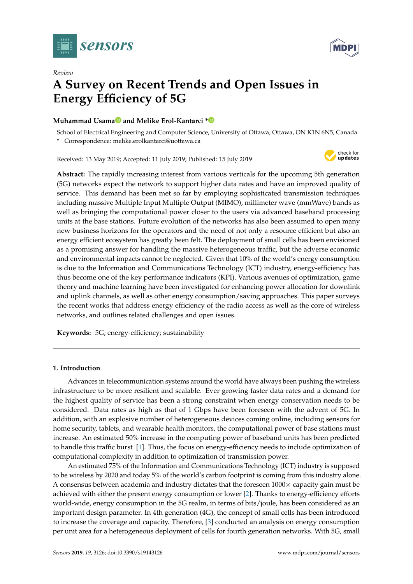

*Review*



# **A Survey on Recent Trends and Open Issues in Energy Efficiency of 5G**

## **Muhammad Usam[a](https://orcid.org/0000-0001-8650-1479) and Melike Erol-Kantarci [\\*](https://orcid.org/0000-0001-6787-8457)**

School of Electrical Engineering and Computer Science, University of Ottawa, Ottawa, ON K1N 6N5, Canada **\*** Correspondence: melike.erolkantarci@uottawa.ca

Received: 13 May 2019; Accepted: 11 July 2019; Published: 15 July 2019



**Abstract:** The rapidly increasing interest from various verticals for the upcoming 5th generation (5G) networks expect the network to support higher data rates and have an improved quality of service. This demand has been met so far by employing sophisticated transmission techniques including massive Multiple Input Multiple Output (MIMO), millimeter wave (mmWave) bands as well as bringing the computational power closer to the users via advanced baseband processing units at the base stations. Future evolution of the networks has also been assumed to open many new business horizons for the operators and the need of not only a resource efficient but also an energy efficient ecosystem has greatly been felt. The deployment of small cells has been envisioned as a promising answer for handling the massive heterogeneous traffic, but the adverse economic and environmental impacts cannot be neglected. Given that 10% of the world's energy consumption is due to the Information and Communications Technology (ICT) industry, energy-efficiency has thus become one of the key performance indicators (KPI). Various avenues of optimization, game theory and machine learning have been investigated for enhancing power allocation for downlink and uplink channels, as well as other energy consumption/saving approaches. This paper surveys the recent works that address energy efficiency of the radio access as well as the core of wireless networks, and outlines related challenges and open issues.

**Keywords:** 5G; energy-efficiency; sustainability

## **1. Introduction**

Advances in telecommunication systems around the world have always been pushing the wireless infrastructure to be more resilient and scalable. Ever growing faster data rates and a demand for the highest quality of service has been a strong constraint when energy conservation needs to be considered. Data rates as high as that of 1 Gbps have been foreseen with the advent of 5G. In addition, with an explosive number of heterogeneous devices coming online, including sensors for home security, tablets, and wearable health monitors, the computational power of base stations must increase. An estimated 50% increase in the computing power of baseband units has been predicted to handle this traffic burst [\[1\]](#page-19-0). Thus, the focus on energy-efficiency needs to include optimization of computational complexity in addition to optimization of transmission power.

An estimated 75% of the Information and Communications Technology (ICT) industry is supposed to be wireless by 2020 and today 5% of the world's carbon footprint is coming from this industry alone. A consensus between academia and industry dictates that the foreseen  $1000\times$  capacity gain must be achieved with either the present energy consumption or lower [\[2\]](#page-19-1). Thanks to energy-efficiency efforts world-wide, energy consumption in the 5G realm, in terms of bits/joule, has been considered as an important design parameter. In 4th generation (4G), the concept of small cells has been introduced to increase the coverage and capacity. Therefore, [\[3\]](#page-19-2) conducted an analysis on energy consumption per unit area for a heterogeneous deployment of cells for fourth generation networks. With 5G, small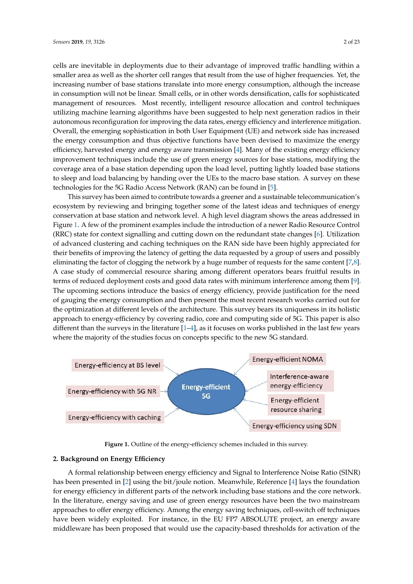cells are inevitable in deployments due to their advantage of improved traffic handling within a smaller area as well as the shorter cell ranges that result from the use of higher frequencies. Yet, the increasing number of base stations translate into more energy consumption, although the increase in consumption will not be linear. Small cells, or in other words densification, calls for sophisticated management of resources. Most recently, intelligent resource allocation and control techniques utilizing machine learning algorithms have been suggested to help next generation radios in their autonomous reconfiguration for improving the data rates, energy efficiency and interference mitigation. Overall, the emerging sophistication in both User Equipment (UE) and network side has increased the energy consumption and thus objective functions have been devised to maximize the energy efficiency, harvested energy and energy aware transmission [\[4\]](#page-19-3). Many of the existing energy efficiency improvement techniques include the use of green energy sources for base stations, modifying the coverage area of a base station depending upon the load level, putting lightly loaded base stations to sleep and load balancing by handing over the UEs to the macro base station. A survey on these technologies for the 5G Radio Access Network (RAN) can be found in [\[5\]](#page-19-4).

This survey has been aimed to contribute towards a greener and a sustainable telecommunication's ecosystem by reviewing and bringing together some of the latest ideas and techniques of energy conservation at base station and network level. A high level diagram shows the areas addressed in Figure [1.](#page-1-0) A few of the prominent examples include the introduction of a newer Radio Resource Control (RRC) state for context signalling and cutting down on the redundant state changes [\[6\]](#page-19-5). Utilization of advanced clustering and caching techniques on the RAN side have been highly appreciated for their benefits of improving the latency of getting the data requested by a group of users and possibly eliminating the factor of clogging the network by a huge number of requests for the same content [\[7](#page-19-6)[,8\]](#page-19-7). A case study of commercial resource sharing among different operators bears fruitful results in terms of reduced deployment costs and good data rates with minimum interference among them [\[9\]](#page-20-0). The upcoming sections introduce the basics of energy efficiency, provide justification for the need of gauging the energy consumption and then present the most recent research works carried out for the optimization at different levels of the architecture. This survey bears its uniqueness in its holistic approach to energy-efficiency by covering radio, core and computing side of 5G. This paper is also different than the surveys in the literature [\[1](#page-19-0)[–4\]](#page-19-3), as it focuses on works published in the last few years where the majority of the studies focus on concepts specific to the new 5G standard.

<span id="page-1-0"></span>

Figure 1. Outline of the energy-efficiency schemes included in this survey.

#### **2. Background on Energy Efficiency**

A formal relationship between energy efficiency and Signal to Interference Noise Ratio (SINR) has been presented in [\[2\]](#page-19-1) using the bit/joule notion. Meanwhile, Reference [\[4\]](#page-19-3) lays the foundation for energy efficiency in different parts of the network including base stations and the core network. In the literature, energy saving and use of green energy resources have been the two mainstream approaches to offer energy efficiency. Among the energy saving techniques, cell-switch off techniques have been widely exploited. For instance, in the EU FP7 ABSOLUTE project, an energy aware middleware has been proposed that would use the capacity-based thresholds for activation of the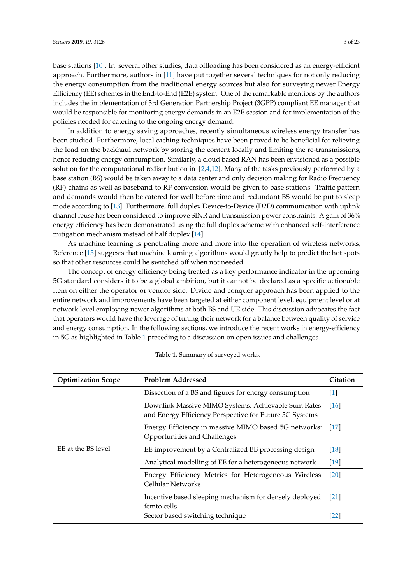base stations [\[10\]](#page-20-1). In several other studies, data offloading has been considered as an energy-efficient approach. Furthermore, authors in [\[11\]](#page-20-2) have put together several techniques for not only reducing the energy consumption from the traditional energy sources but also for surveying newer Energy Efficiency (EE) schemes in the End-to-End (E2E) system. One of the remarkable mentions by the authors includes the implementation of 3rd Generation Partnership Project (3GPP) compliant EE manager that would be responsible for monitoring energy demands in an E2E session and for implementation of the policies needed for catering to the ongoing energy demand.

In addition to energy saving approaches, recently simultaneous wireless energy transfer has been studied. Furthermore, local caching techniques have been proved to be beneficial for relieving the load on the backhaul network by storing the content locally and limiting the re-transmissions, hence reducing energy consumption. Similarly, a cloud based RAN has been envisioned as a possible solution for the computational redistribution in [\[2](#page-19-1)[,4](#page-19-3)[,12\]](#page-20-3). Many of the tasks previously performed by a base station (BS) would be taken away to a data center and only decision making for Radio Frequency (RF) chains as well as baseband to RF conversion would be given to base stations. Traffic pattern and demands would then be catered for well before time and redundant BS would be put to sleep mode according to [\[13\]](#page-20-4). Furthermore, full duplex Device-to-Device (D2D) communication with uplink channel reuse has been considered to improve SINR and transmission power constraints. A gain of 36% energy efficiency has been demonstrated using the full duplex scheme with enhanced self-interference mitigation mechanism instead of half duplex [\[14\]](#page-20-5).

As machine learning is penetrating more and more into the operation of wireless networks, Reference [\[15\]](#page-20-6) suggests that machine learning algorithms would greatly help to predict the hot spots so that other resources could be switched off when not needed.

The concept of energy efficiency being treated as a key performance indicator in the upcoming 5G standard considers it to be a global ambition, but it cannot be declared as a specific actionable item on either the operator or vendor side. Divide and conquer approach has been applied to the entire network and improvements have been targeted at either component level, equipment level or at network level employing newer algorithms at both BS and UE side. This discussion advocates the fact that operators would have the leverage of tuning their network for a balance between quality of service and energy consumption. In the following sections, we introduce the recent works in energy-efficiency in 5G as highlighted in Table [1](#page-2-0) preceding to a discussion on open issues and challenges.

<span id="page-2-0"></span>

| <b>Optimization Scope</b> | <b>Problem Addressed</b>                                                                                       | Citation                                                                                                                                                                       |
|---------------------------|----------------------------------------------------------------------------------------------------------------|--------------------------------------------------------------------------------------------------------------------------------------------------------------------------------|
| EE at the BS level        | Dissection of a BS and figures for energy consumption                                                          | $[1] % \includegraphics[width=0.9\columnwidth]{figures/fig_10.pdf} \caption{The figure shows the number of times of the estimators in the left and right.} \label{fig:time} %$ |
|                           | Downlink Massive MIMO Systems: Achievable Sum Rates<br>and Energy Efficiency Perspective for Future 5G Systems | [16]                                                                                                                                                                           |
|                           | Energy Efficiency in massive MIMO based 5G networks:<br>Opportunities and Challenges                           | $\lceil 17 \rceil$                                                                                                                                                             |
|                           | EE improvement by a Centralized BB processing design                                                           | $[18]$                                                                                                                                                                         |
|                           | Analytical modelling of EE for a heterogeneous network                                                         | $[19]$                                                                                                                                                                         |
|                           | Energy Efficiency Metrics for Heterogeneous Wireless<br>Cellular Networks                                      | [20]                                                                                                                                                                           |
|                           | Incentive based sleeping mechanism for densely deployed<br>femto cells                                         | [21]                                                                                                                                                                           |
|                           | Sector based switching technique                                                                               | $[22]$                                                                                                                                                                         |

**Table 1.** Summary of surveyed works.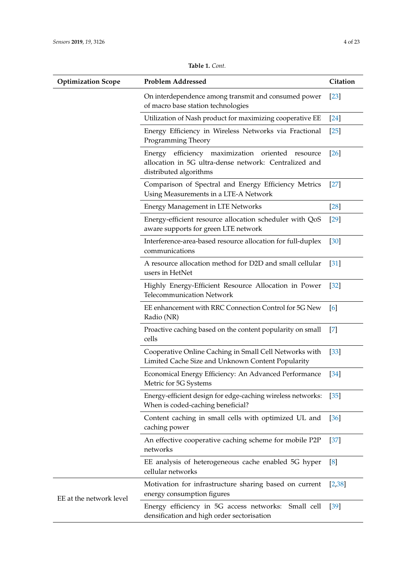| <b>Optimization Scope</b> | <b>Problem Addressed</b>                                                                                                               | Citation                                                                                                                                                                                                                                                                                                                                                                                                                                                                                               |
|---------------------------|----------------------------------------------------------------------------------------------------------------------------------------|--------------------------------------------------------------------------------------------------------------------------------------------------------------------------------------------------------------------------------------------------------------------------------------------------------------------------------------------------------------------------------------------------------------------------------------------------------------------------------------------------------|
|                           | On interdependence among transmit and consumed power<br>of macro base station technologies                                             | $[23]$                                                                                                                                                                                                                                                                                                                                                                                                                                                                                                 |
|                           | Utilization of Nash product for maximizing cooperative EE                                                                              | [24]                                                                                                                                                                                                                                                                                                                                                                                                                                                                                                   |
|                           | Energy Efficiency in Wireless Networks via Fractional<br>Programming Theory                                                            | $[25]$                                                                                                                                                                                                                                                                                                                                                                                                                                                                                                 |
|                           | Energy efficiency maximization oriented<br>resource<br>allocation in 5G ultra-dense network: Centralized and<br>distributed algorithms | $[26]$                                                                                                                                                                                                                                                                                                                                                                                                                                                                                                 |
|                           | Comparison of Spectral and Energy Efficiency Metrics<br>Using Measurements in a LTE-A Network                                          | $[27]$                                                                                                                                                                                                                                                                                                                                                                                                                                                                                                 |
|                           | <b>Energy Management in LTE Networks</b>                                                                                               | $[28]$                                                                                                                                                                                                                                                                                                                                                                                                                                                                                                 |
|                           | Energy-efficient resource allocation scheduler with QoS<br>aware supports for green LTE network                                        | [29]                                                                                                                                                                                                                                                                                                                                                                                                                                                                                                   |
|                           | Interference-area-based resource allocation for full-duplex<br>communications                                                          | [30]                                                                                                                                                                                                                                                                                                                                                                                                                                                                                                   |
|                           | A resource allocation method for D2D and small cellular<br>users in HetNet                                                             | [31]                                                                                                                                                                                                                                                                                                                                                                                                                                                                                                   |
|                           | Highly Energy-Efficient Resource Allocation in Power<br><b>Telecommunication Network</b>                                               | $[32]$                                                                                                                                                                                                                                                                                                                                                                                                                                                                                                 |
|                           | EE enhancement with RRC Connection Control for 5G New<br>Radio (NR)                                                                    | [6]                                                                                                                                                                                                                                                                                                                                                                                                                                                                                                    |
|                           | Proactive caching based on the content popularity on small<br>cells                                                                    | $[7] \centering% \includegraphics[width=1\textwidth]{images/TransY.pdf} \caption{The first two different values of $d=3$ and $d=4$ (left) and $d=5$ (right) and $d=6$ (right) and $d=6$ (right) and $d=6$ (right) and $d=6$ (right) and $d=6$ (right) and $d=6$ (right) and $d=6$ (right) and $d=6$ (right) and $d=6$ (right) and $d=6$ (right) and $d=6$ (right) and $d=6$ (right) and $d=6$ (right) and $d=6$ (right) and $d=6$ (right) and $d=6$ (right) and $d=6$ (right) and $d=6$ (right) and $$ |
|                           | Cooperative Online Caching in Small Cell Networks with<br>Limited Cache Size and Unknown Content Popularity                            | $[33]$                                                                                                                                                                                                                                                                                                                                                                                                                                                                                                 |
|                           | Economical Energy Efficiency: An Advanced Performance<br>Metric for 5G Systems                                                         | [34]                                                                                                                                                                                                                                                                                                                                                                                                                                                                                                   |
|                           | Energy-efficient design for edge-caching wireless networks:<br>When is coded-caching beneficial?                                       | $[35]$                                                                                                                                                                                                                                                                                                                                                                                                                                                                                                 |
|                           | Content caching in small cells with optimized UL and<br>caching power                                                                  | 36                                                                                                                                                                                                                                                                                                                                                                                                                                                                                                     |
|                           | An effective cooperative caching scheme for mobile P2P<br>networks                                                                     | $[37]$                                                                                                                                                                                                                                                                                                                                                                                                                                                                                                 |
|                           | EE analysis of heterogeneous cache enabled 5G hyper<br>cellular networks                                                               | [8]                                                                                                                                                                                                                                                                                                                                                                                                                                                                                                    |
| EE at the network level   | Motivation for infrastructure sharing based on current<br>energy consumption figures                                                   | [2,38]                                                                                                                                                                                                                                                                                                                                                                                                                                                                                                 |
|                           | Energy efficiency in 5G access networks:<br>Small cell<br>densification and high order sectorisation                                   | [39]                                                                                                                                                                                                                                                                                                                                                                                                                                                                                                   |

**Table 1.** *Cont.*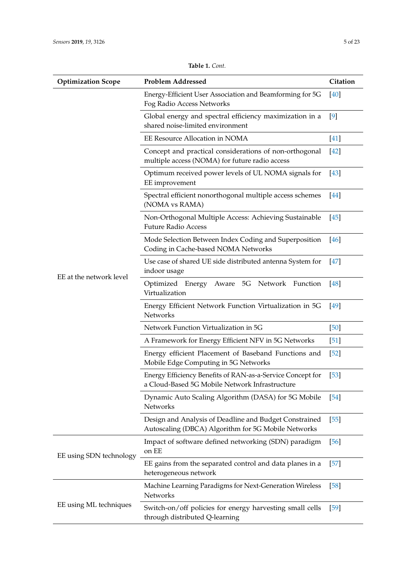| <b>Optimization Scope</b> | Problem Addressed                                                                                             | Citation |
|---------------------------|---------------------------------------------------------------------------------------------------------------|----------|
| EE at the network level   | Energy-Efficient User Association and Beamforming for 5G<br>Fog Radio Access Networks                         | [40]     |
|                           | Global energy and spectral efficiency maximization in a<br>shared noise-limited environment                   | $[9]$    |
|                           | EE Resource Allocation in NOMA                                                                                | $[41]$   |
|                           | Concept and practical considerations of non-orthogonal<br>multiple access (NOMA) for future radio access      | $[42]$   |
|                           | Optimum received power levels of UL NOMA signals for<br>EE improvement                                        | $[43]$   |
|                           | Spectral efficient nonorthogonal multiple access schemes<br>(NOMA vs RAMA)                                    | $[44]$   |
|                           | Non-Orthogonal Multiple Access: Achieving Sustainable<br><b>Future Radio Access</b>                           | [45]     |
|                           | Mode Selection Between Index Coding and Superposition<br>Coding in Cache-based NOMA Networks                  | $[46]$   |
|                           | Use case of shared UE side distributed antenna System for<br>indoor usage                                     | [47]     |
|                           | 5G Network<br>Optimized Energy<br>Aware<br>Function<br>Virtualization                                         | [48]     |
|                           | Energy Efficient Network Function Virtualization in 5G<br>Networks                                            | $[49]$   |
|                           | Network Function Virtualization in 5G                                                                         | $[50]$   |
|                           | A Framework for Energy Efficient NFV in 5G Networks                                                           | $[51]$   |
|                           | Energy efficient Placement of Baseband Functions and<br>Mobile Edge Computing in 5G Networks                  | $[52]$   |
|                           | Energy Efficiency Benefits of RAN-as-a-Service Concept for<br>a Cloud-Based 5G Mobile Network Infrastructure  | [53]     |
|                           | Dynamic Auto Scaling Algorithm (DASA) for 5G Mobile<br><b>Networks</b>                                        | $[54]$   |
|                           | Design and Analysis of Deadline and Budget Constrained<br>Autoscaling (DBCA) Algorithm for 5G Mobile Networks | $[55]$   |
| EE using SDN technology   | Impact of software defined networking (SDN) paradigm<br>on EE                                                 | [56]     |
|                           | EE gains from the separated control and data planes in a<br>heterogeneous network                             | $[57]$   |
|                           | Machine Learning Paradigms for Next-Generation Wireless<br>Networks                                           | $[58]$   |
| EE using ML techniques    | Switch-on/off policies for energy harvesting small cells                                                      | $[59]$   |

through distributed Q-learning

**Table 1.** *Cont.*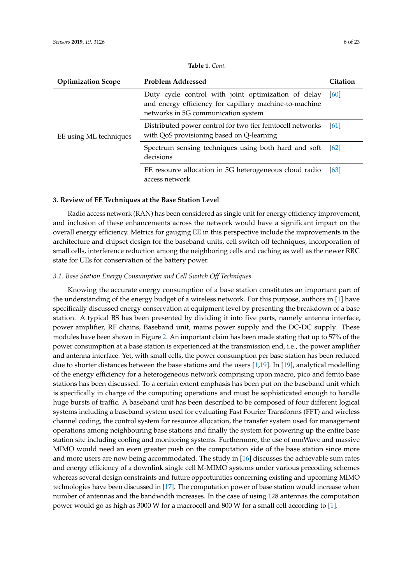| <b>Optimization Scope</b> | <b>Problem Addressed</b>                                                                                                                             | Citation           |
|---------------------------|------------------------------------------------------------------------------------------------------------------------------------------------------|--------------------|
| EE using ML techniques    | Duty cycle control with joint optimization of delay<br>and energy efficiency for capillary machine-to-machine<br>networks in 5G communication system | <b>60</b>          |
|                           | Distributed power control for two tier femtocell networks<br>with QoS provisioning based on Q-learning                                               | [61]               |
|                           | Spectrum sensing techniques using both hard and soft<br>decisions                                                                                    | [62]               |
|                           | EE resource allocation in 5G heterogeneous cloud radio<br>access network                                                                             | $\lceil 63 \rceil$ |

**Table 1.** *Cont.*

## **3. Review of EE Techniques at the Base Station Level**

Radio access network (RAN) has been considered as single unit for energy efficiency improvement, and inclusion of these enhancements across the network would have a significant impact on the overall energy efficiency. Metrics for gauging EE in this perspective include the improvements in the architecture and chipset design for the baseband units, cell switch off techniques, incorporation of small cells, interference reduction among the neighboring cells and caching as well as the newer RRC state for UEs for conservation of the battery power.

## *3.1. Base Station Energy Consumption and Cell Switch Off Techniques*

Knowing the accurate energy consumption of a base station constitutes an important part of the understanding of the energy budget of a wireless network. For this purpose, authors in [\[1\]](#page-19-0) have specifically discussed energy conservation at equipment level by presenting the breakdown of a base station. A typical BS has been presented by dividing it into five parts, namely antenna interface, power amplifier, RF chains, Baseband unit, mains power supply and the DC-DC supply. These modules have been shown in Figure [2.](#page-6-0) An important claim has been made stating that up to 57% of the power consumption at a base station is experienced at the transmission end, i.e., the power amplifier and antenna interface. Yet, with small cells, the power consumption per base station has been reduced due to shorter distances between the base stations and the users [\[1,](#page-19-0)[19\]](#page-20-10). In [\[19\]](#page-20-10), analytical modelling of the energy efficiency for a heterogeneous network comprising upon macro, pico and femto base stations has been discussed. To a certain extent emphasis has been put on the baseband unit which is specifically in charge of the computing operations and must be sophisticated enough to handle huge bursts of traffic. A baseband unit has been described to be composed of four different logical systems including a baseband system used for evaluating Fast Fourier Transforms (FFT) and wireless channel coding, the control system for resource allocation, the transfer system used for management operations among neighbouring base stations and finally the system for powering up the entire base station site including cooling and monitoring systems. Furthermore, the use of mmWave and massive MIMO would need an even greater push on the computation side of the base station since more and more users are now being accommodated. The study in [\[16\]](#page-20-7) discusses the achievable sum rates and energy efficiency of a downlink single cell M-MIMO systems under various precoding schemes whereas several design constraints and future opportunities concerning existing and upcoming MIMO technologies have been discussed in [\[17\]](#page-20-8). The computation power of base station would increase when number of antennas and the bandwidth increases. In the case of using 128 antennas the computation power would go as high as 3000 W for a macrocell and 800 W for a small cell according to [\[1\]](#page-19-0).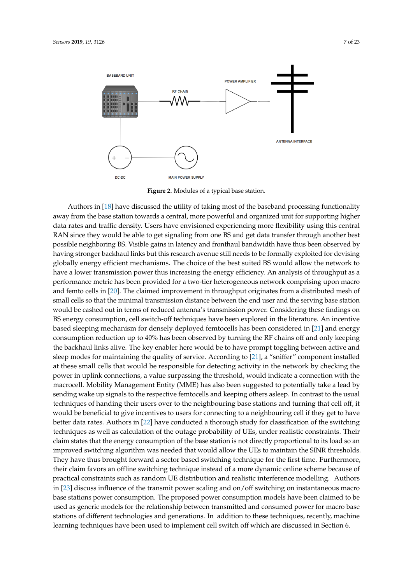<span id="page-6-0"></span>

**Figure 2.** Modules of a typical base station.

Authors in [\[18\]](#page-20-9) have discussed the utility of taking most of the baseband processing functionality away from the base station towards a central, more powerful and organized unit for supporting higher data rates and traffic density. Users have envisioned experiencing more flexibility using this central RAN since they would be able to get signaling from one BS and get data transfer through another best possible neighboring BS. Visible gains in latency and fronthaul bandwidth have thus been observed by having stronger backhaul links but this research avenue still needs to be formally exploited for devising globally energy efficient mechanisms. The choice of the best suited BS would allow the network to have a lower transmission power thus increasing the energy efficiency. An analysis of throughput as a performance metric has been provided for a two-tier heterogeneous network comprising upon macro and femto cells in [\[20\]](#page-20-11). The claimed improvement in throughput originates from a distributed mesh of small cells so that the minimal transmission distance between the end user and the serving base station would be cashed out in terms of reduced antenna's transmission power. Considering these findings on BS energy consumption, cell switch-off techniques have been explored in the literature. An incentive based sleeping mechanism for densely deployed femtocells has been considered in [\[21\]](#page-20-12) and energy consumption reduction up to 40% has been observed by turning the RF chains off and only keeping the backhaul links alive. The key enabler here would be to have prompt toggling between active and sleep modes for maintaining the quality of service. According to [\[21\]](#page-20-12), a "sniffer" component installed at these small cells that would be responsible for detecting activity in the network by checking the power in uplink connections, a value surpassing the threshold, would indicate a connection with the macrocell. Mobility Management Entity (MME) has also been suggested to potentially take a lead by sending wake up signals to the respective femtocells and keeping others asleep. In contrast to the usual techniques of handing their users over to the neighbouring base stations and turning that cell off, it would be beneficial to give incentives to users for connecting to a neighbouring cell if they get to have better data rates. Authors in [\[22\]](#page-20-13) have conducted a thorough study for classification of the switching techniques as well as calculation of the outage probability of UEs, under realistic constraints. Their claim states that the energy consumption of the base station is not directly proportional to its load so an improved switching algorithm was needed that would allow the UEs to maintain the SINR thresholds. They have thus brought forward a sector based switching technique for the first time. Furthermore, their claim favors an offline switching technique instead of a more dynamic online scheme because of practical constraints such as random UE distribution and realistic interference modelling. Authors in [\[23\]](#page-20-14) discuss influence of the transmit power scaling and on/off switching on instantaneous macro base stations power consumption. The proposed power consumption models have been claimed to be used as generic models for the relationship between transmitted and consumed power for macro base stations of different technologies and generations. In addition to these techniques, recently, machine learning techniques have been used to implement cell switch off which are discussed in Section 6.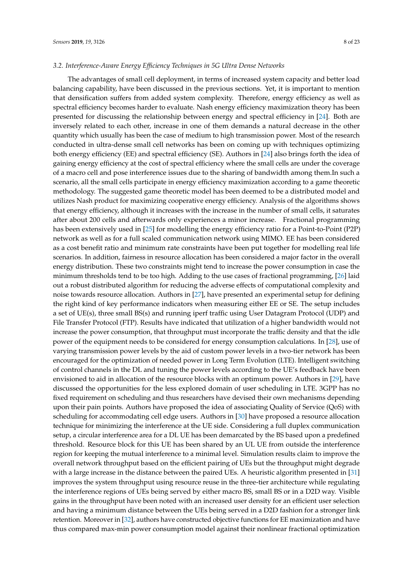## *3.2. Interference-Aware Energy Efficiency Techniques in 5G Ultra Dense Networks*

The advantages of small cell deployment, in terms of increased system capacity and better load balancing capability, have been discussed in the previous sections. Yet, it is important to mention that densification suffers from added system complexity. Therefore, energy efficiency as well as spectral efficiency becomes harder to evaluate. Nash energy efficiency maximization theory has been presented for discussing the relationship between energy and spectral efficiency in [\[24\]](#page-20-15). Both are inversely related to each other, increase in one of them demands a natural decrease in the other quantity which usually has been the case of medium to high transmission power. Most of the research conducted in ultra-dense small cell networks has been on coming up with techniques optimizing both energy efficiency (EE) and spectral efficiency (SE). Authors in [\[24\]](#page-20-15) also brings forth the idea of gaining energy efficiency at the cost of spectral efficiency where the small cells are under the coverage of a macro cell and pose interference issues due to the sharing of bandwidth among them.In such a scenario, all the small cells participate in energy efficiency maximization according to a game theoretic methodology. The suggested game theoretic model has been deemed to be a distributed model and utilizes Nash product for maximizing cooperative energy efficiency. Analysis of the algorithms shows that energy efficiency, although it increases with the increase in the number of small cells, it saturates after about 200 cells and afterwards only experiences a minor increase. Fractional programming has been extensively used in [\[25\]](#page-20-16) for modelling the energy efficiency ratio for a Point-to-Point (P2P) network as well as for a full scaled communication network using MIMO. EE has been considered as a cost benefit ratio and minimum rate constraints have been put together for modelling real life scenarios. In addition, fairness in resource allocation has been considered a major factor in the overall energy distribution. These two constraints might tend to increase the power consumption in case the minimum thresholds tend to be too high. Adding to the use cases of fractional programming, [\[26\]](#page-20-17) laid out a robust distributed algorithm for reducing the adverse effects of computational complexity and noise towards resource allocation. Authors in [\[27\]](#page-20-18), have presented an experimental setup for defining the right kind of key performance indicators when measuring either EE or SE. The setup includes a set of UE(s), three small BS(s) and running iperf traffic using User Datagram Protocol (UDP) and File Transfer Protocol (FTP). Results have indicated that utilization of a higher bandwidth would not increase the power consumption, that throughput must incorporate the traffic density and that the idle power of the equipment needs to be considered for energy consumption calculations. In [\[28\]](#page-20-19), use of varying transmission power levels by the aid of custom power levels in a two-tier network has been encouraged for the optimization of needed power in Long Term Evolution (LTE). Intelligent switching of control channels in the DL and tuning the power levels according to the UE's feedback have been envisioned to aid in allocation of the resource blocks with an optimum power. Authors in [\[29\]](#page-20-20), have discussed the opportunities for the less explored domain of user scheduling in LTE. 3GPP has no fixed requirement on scheduling and thus researchers have devised their own mechanisms depending upon their pain points. Authors have proposed the idea of associating Quality of Service (QoS) with scheduling for accommodating cell edge users. Authors in [\[30\]](#page-21-0) have proposed a resource allocation technique for minimizing the interference at the UE side. Considering a full duplex communication setup, a circular interference area for a DL UE has been demarcated by the BS based upon a predefined threshold. Resource block for this UE has been shared by an UL UE from outside the interference region for keeping the mutual interference to a minimal level. Simulation results claim to improve the overall network throughput based on the efficient pairing of UEs but the throughput might degrade with a large increase in the distance between the paired UEs. A heuristic algorithm presented in [\[31\]](#page-21-1) improves the system throughput using resource reuse in the three-tier architecture while regulating the interference regions of UEs being served by either macro BS, small BS or in a D2D way. Visible gains in the throughput have been noted with an increased user density for an efficient user selection and having a minimum distance between the UEs being served in a D2D fashion for a stronger link retention. Moreover in [\[32\]](#page-21-2), authors have constructed objective functions for EE maximization and have thus compared max-min power consumption model against their nonlinear fractional optimization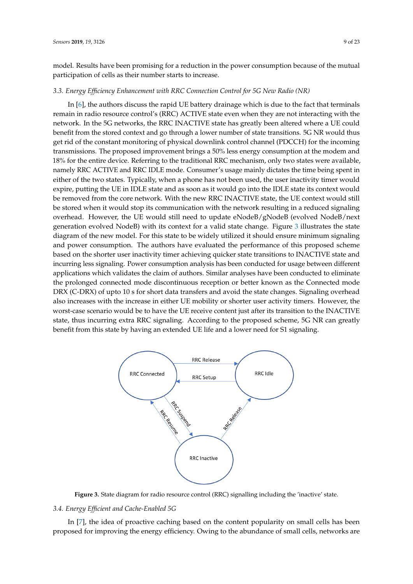model. Results have been promising for a reduction in the power consumption because of the mutual participation of cells as their number starts to increase.

#### *3.3. Energy Efficiency Enhancement with RRC Connection Control for 5G New Radio (NR)*

In [\[6\]](#page-19-5), the authors discuss the rapid UE battery drainage which is due to the fact that terminals remain in radio resource control's (RRC) ACTIVE state even when they are not interacting with the network. In the 5G networks, the RRC INACTIVE state has greatly been altered where a UE could benefit from the stored context and go through a lower number of state transitions. 5G NR would thus get rid of the constant monitoring of physical downlink control channel (PDCCH) for the incoming transmissions. The proposed improvement brings a 50% less energy consumption at the modem and 18% for the entire device. Referring to the traditional RRC mechanism, only two states were available, namely RRC ACTIVE and RRC IDLE mode. Consumer's usage mainly dictates the time being spent in either of the two states. Typically, when a phone has not been used, the user inactivity timer would expire, putting the UE in IDLE state and as soon as it would go into the IDLE state its context would be removed from the core network. With the new RRC INACTIVE state, the UE context would still be stored when it would stop its communication with the network resulting in a reduced signaling overhead. However, the UE would still need to update eNodeB/gNodeB (evolved NodeB/next generation evolved NodeB) with its context for a valid state change. Figure [3](#page-8-0) illustrates the state diagram of the new model. For this state to be widely utilized it should ensure minimum signaling and power consumption. The authors have evaluated the performance of this proposed scheme based on the shorter user inactivity timer achieving quicker state transitions to INACTIVE state and incurring less signaling. Power consumption analysis has been conducted for usage between different applications which validates the claim of authors. Similar analyses have been conducted to eliminate the prolonged connected mode discontinuous reception or better known as the Connected mode DRX (C-DRX) of upto 10 s for short data transfers and avoid the state changes. Signaling overhead also increases with the increase in either UE mobility or shorter user activity timers. However, the worst-case scenario would be to have the UE receive content just after its transition to the INACTIVE state, thus incurring extra RRC signaling. According to the proposed scheme, 5G NR can greatly benefit from this state by having an extended UE life and a lower need for S1 signaling.

<span id="page-8-0"></span>

**Figure 3.** State diagram for radio resource control (RRC) signalling including the 'inactive' state.

#### *3.4. Energy Efficient and Cache-Enabled 5G*

In [\[7\]](#page-19-6), the idea of proactive caching based on the content popularity on small cells has been proposed for improving the energy efficiency. Owing to the abundance of small cells, networks are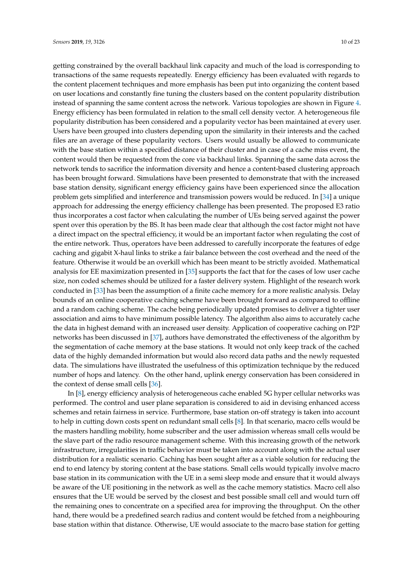getting constrained by the overall backhaul link capacity and much of the load is corresponding to transactions of the same requests repeatedly. Energy efficiency has been evaluated with regards to the content placement techniques and more emphasis has been put into organizing the content based on user locations and constantly fine tuning the clusters based on the content popularity distribution instead of spanning the same content across the network. Various topologies are shown in Figure [4.](#page-10-0) Energy efficiency has been formulated in relation to the small cell density vector. A heterogeneous file popularity distribution has been considered and a popularity vector has been maintained at every user. Users have been grouped into clusters depending upon the similarity in their interests and the cached files are an average of these popularity vectors. Users would usually be allowed to communicate with the base station within a specified distance of their cluster and in case of a cache miss event, the content would then be requested from the core via backhaul links. Spanning the same data across the network tends to sacrifice the information diversity and hence a content-based clustering approach has been brought forward. Simulations have been presented to demonstrate that with the increased base station density, significant energy efficiency gains have been experienced since the allocation problem gets simplified and interference and transmission powers would be reduced. In [\[34\]](#page-21-4) a unique approach for addressing the energy efficiency challenge has been presented. The proposed E3 ratio thus incorporates a cost factor when calculating the number of UEs being served against the power spent over this operation by the BS. It has been made clear that although the cost factor might not have a direct impact on the spectral efficiency, it would be an important factor when regulating the cost of the entire network. Thus, operators have been addressed to carefully incorporate the features of edge caching and gigabit X-haul links to strike a fair balance between the cost overhead and the need of the feature. Otherwise it would be an overkill which has been meant to be strictly avoided. Mathematical analysis for EE maximization presented in [\[35\]](#page-21-5) supports the fact that for the cases of low user cache size, non coded schemes should be utilized for a faster delivery system. Highlight of the research work conducted in [\[33\]](#page-21-3) has been the assumption of a finite cache memory for a more realistic analysis. Delay bounds of an online cooperative caching scheme have been brought forward as compared to offline and a random caching scheme. The cache being periodically updated promises to deliver a tighter user association and aims to have minimum possible latency. The algorithm also aims to accurately cache the data in highest demand with an increased user density. Application of cooperative caching on P2P networks has been discussed in [\[37\]](#page-21-7), authors have demonstrated the effectiveness of the algorithm by the segmentation of cache memory at the base stations. It would not only keep track of the cached data of the highly demanded information but would also record data paths and the newly requested data. The simulations have illustrated the usefulness of this optimization technique by the reduced number of hops and latency. On the other hand, uplink energy conservation has been considered in the context of dense small cells [\[36\]](#page-21-6).

In [\[8\]](#page-19-7), energy efficiency analysis of heterogeneous cache enabled 5G hyper cellular networks was performed. The control and user plane separation is considered to aid in devising enhanced access schemes and retain fairness in service. Furthermore, base station on-off strategy is taken into account to help in cutting down costs spent on redundant small cells [\[8\]](#page-19-7). In that scenario, macro cells would be the masters handling mobility, home subscriber and the user admission whereas small cells would be the slave part of the radio resource management scheme. With this increasing growth of the network infrastructure, irregularities in traffic behavior must be taken into account along with the actual user distribution for a realistic scenario. Caching has been sought after as a viable solution for reducing the end to end latency by storing content at the base stations. Small cells would typically involve macro base station in its communication with the UE in a semi sleep mode and ensure that it would always be aware of the UE positioning in the network as well as the cache memory statistics. Macro cell also ensures that the UE would be served by the closest and best possible small cell and would turn off the remaining ones to concentrate on a specified area for improving the throughput. On the other hand, there would be a predefined search radius and content would be fetched from a neighbouring base station within that distance. Otherwise, UE would associate to the macro base station for getting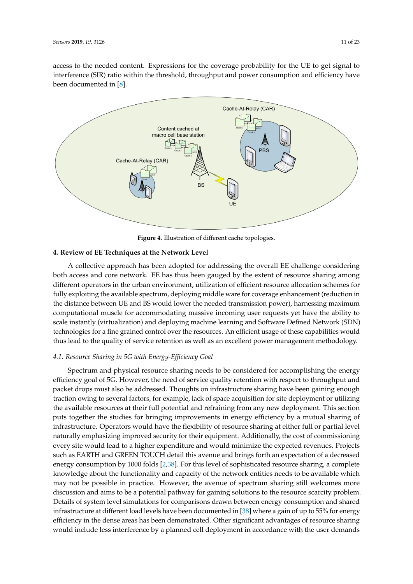access to the needed content. Expressions for the coverage probability for the UE to get signal to interference (SIR) ratio within the threshold, throughput and power consumption and efficiency have been documented in [\[8\]](#page-19-7).

<span id="page-10-0"></span>

**Figure 4.** Illustration of different cache topologies.

# **4. Review of EE Techniques at the Network Level**

A collective approach has been adopted for addressing the overall EE challenge considering both access and core network. EE has thus been gauged by the extent of resource sharing among different operators in the urban environment, utilization of efficient resource allocation schemes for fully exploiting the available spectrum, deploying middle ware for coverage enhancement (reduction in the distance between UE and BS would lower the needed transmission power), harnessing maximum computational muscle for accommodating massive incoming user requests yet have the ability to scale instantly (virtualization) and deploying machine learning and Software Defined Network (SDN) technologies for a fine grained control over the resources. An efficient usage of these capabilities would thus lead to the quality of service retention as well as an excellent power management methodology.

# *4.1. Resource Sharing in 5G with Energy-Efficiency Goal*

Spectrum and physical resource sharing needs to be considered for accomplishing the energy efficiency goal of 5G. However, the need of service quality retention with respect to throughput and packet drops must also be addressed. Thoughts on infrastructure sharing have been gaining enough traction owing to several factors, for example, lack of space acquisition for site deployment or utilizing the available resources at their full potential and refraining from any new deployment. This section puts together the studies for bringing improvements in energy efficiency by a mutual sharing of infrastructure. Operators would have the flexibility of resource sharing at either full or partial level naturally emphasizing improved security for their equipment. Additionally, the cost of commissioning every site would lead to a higher expenditure and would minimize the expected revenues. Projects such as EARTH and GREEN TOUCH detail this avenue and brings forth an expectation of a decreased energy consumption by 1000 folds [\[2,](#page-19-1)[38\]](#page-21-8). For this level of sophisticated resource sharing, a complete knowledge about the functionality and capacity of the network entities needs to be available which may not be possible in practice. However, the avenue of spectrum sharing still welcomes more discussion and aims to be a potential pathway for gaining solutions to the resource scarcity problem. Details of system level simulations for comparisons drawn between energy consumption and shared infrastructure at different load levels have been documented in [\[38\]](#page-21-8) where a gain of up to 55% for energy efficiency in the dense areas has been demonstrated. Other significant advantages of resource sharing would include less interference by a planned cell deployment in accordance with the user demands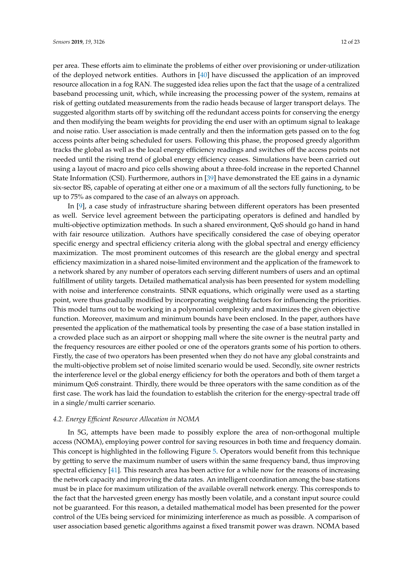per area. These efforts aim to eliminate the problems of either over provisioning or under-utilization of the deployed network entities. Authors in [\[40\]](#page-21-10) have discussed the application of an improved resource allocation in a fog RAN. The suggested idea relies upon the fact that the usage of a centralized baseband processing unit, which, while increasing the processing power of the system, remains at risk of getting outdated measurements from the radio heads because of larger transport delays. The suggested algorithm starts off by switching off the redundant access points for conserving the energy and then modifying the beam weights for providing the end user with an optimum signal to leakage and noise ratio. User association is made centrally and then the information gets passed on to the fog access points after being scheduled for users. Following this phase, the proposed greedy algorithm tracks the global as well as the local energy efficiency readings and switches off the access points not needed until the rising trend of global energy efficiency ceases. Simulations have been carried out using a layout of macro and pico cells showing about a three-fold increase in the reported Channel State Information (CSI). Furthermore, authors in [\[39\]](#page-21-9) have demonstrated the EE gains in a dynamic six-sector BS, capable of operating at either one or a maximum of all the sectors fully functioning, to be up to 75% as compared to the case of an always on approach.

In [\[9\]](#page-20-0), a case study of infrastructure sharing between different operators has been presented as well. Service level agreement between the participating operators is defined and handled by multi-objective optimization methods. In such a shared environment, QoS should go hand in hand with fair resource utilization. Authors have specifically considered the case of obeying operator specific energy and spectral efficiency criteria along with the global spectral and energy efficiency maximization. The most prominent outcomes of this research are the global energy and spectral efficiency maximization in a shared noise-limited environment and the application of the framework to a network shared by any number of operators each serving different numbers of users and an optimal fulfillment of utility targets. Detailed mathematical analysis has been presented for system modelling with noise and interference constraints. SINR equations, which originally were used as a starting point, were thus gradually modified by incorporating weighting factors for influencing the priorities. This model turns out to be working in a polynomial complexity and maximizes the given objective function. Moreover, maximum and minimum bounds have been enclosed. In the paper, authors have presented the application of the mathematical tools by presenting the case of a base station installed in a crowded place such as an airport or shopping mall where the site owner is the neutral party and the frequency resources are either pooled or one of the operators grants some of his portion to others. Firstly, the case of two operators has been presented when they do not have any global constraints and the multi-objective problem set of noise limited scenario would be used. Secondly, site owner restricts the interference level or the global energy efficiency for both the operators and both of them target a minimum QoS constraint. Thirdly, there would be three operators with the same condition as of the first case. The work has laid the foundation to establish the criterion for the energy-spectral trade off in a single/multi carrier scenario.

## *4.2. Energy Efficient Resource Allocation in NOMA*

In 5G, attempts have been made to possibly explore the area of non-orthogonal multiple access (NOMA), employing power control for saving resources in both time and frequency domain. This concept is highlighted in the following Figure [5.](#page-13-0) Operators would benefit from this technique by getting to serve the maximum number of users within the same frequency band, thus improving spectral efficiency [\[41\]](#page-21-11). This research area has been active for a while now for the reasons of increasing the network capacity and improving the data rates. An intelligent coordination among the base stations must be in place for maximum utilization of the available overall network energy. This corresponds to the fact that the harvested green energy has mostly been volatile, and a constant input source could not be guaranteed. For this reason, a detailed mathematical model has been presented for the power control of the UEs being serviced for minimizing interference as much as possible. A comparison of user association based genetic algorithms against a fixed transmit power was drawn. NOMA based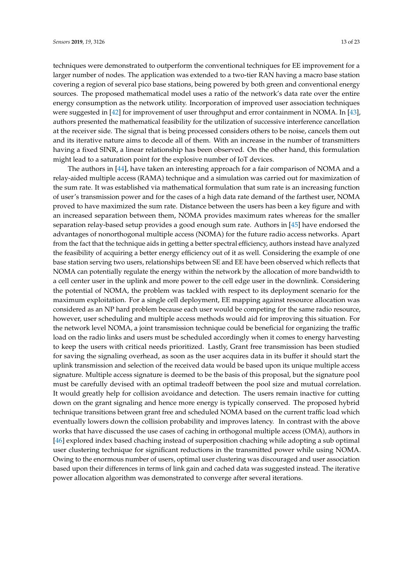techniques were demonstrated to outperform the conventional techniques for EE improvement for a larger number of nodes. The application was extended to a two-tier RAN having a macro base station covering a region of several pico base stations, being powered by both green and conventional energy sources. The proposed mathematical model uses a ratio of the network's data rate over the entire energy consumption as the network utility. Incorporation of improved user association techniques were suggested in [\[42\]](#page-21-12) for improvement of user throughput and error containment in NOMA. In [\[43\]](#page-21-13), authors presented the mathematical feasibility for the utilization of successive interference cancellation at the receiver side. The signal that is being processed considers others to be noise, cancels them out and its iterative nature aims to decode all of them. With an increase in the number of transmitters having a fixed SINR, a linear relationship has been observed. On the other hand, this formulation might lead to a saturation point for the explosive number of IoT devices.

The authors in [\[44\]](#page-21-14), have taken an interesting approach for a fair comparison of NOMA and a relay-aided multiple access (RAMA) technique and a simulation was carried out for maximization of the sum rate. It was established via mathematical formulation that sum rate is an increasing function of user's transmission power and for the cases of a high data rate demand of the farthest user, NOMA proved to have maximized the sum rate. Distance between the users has been a key figure and with an increased separation between them, NOMA provides maximum rates whereas for the smaller separation relay-based setup provides a good enough sum rate. Authors in [\[45\]](#page-21-15) have endorsed the advantages of nonorthogonal multiple access (NOMA) for the future radio access networks. Apart from the fact that the technique aids in getting a better spectral efficiency, authors instead have analyzed the feasibility of acquiring a better energy efficiency out of it as well. Considering the example of one base station serving two users, relationships between SE and EE have been observed which reflects that NOMA can potentially regulate the energy within the network by the allocation of more bandwidth to a cell center user in the uplink and more power to the cell edge user in the downlink. Considering the potential of NOMA, the problem was tackled with respect to its deployment scenario for the maximum exploitation. For a single cell deployment, EE mapping against resource allocation was considered as an NP hard problem because each user would be competing for the same radio resource, however, user scheduling and multiple access methods would aid for improving this situation. For the network level NOMA, a joint transmission technique could be beneficial for organizing the traffic load on the radio links and users must be scheduled accordingly when it comes to energy harvesting to keep the users with critical needs prioritized. Lastly, Grant free transmission has been studied for saving the signaling overhead, as soon as the user acquires data in its buffer it should start the uplink transmission and selection of the received data would be based upon its unique multiple access signature. Multiple access signature is deemed to be the basis of this proposal, but the signature pool must be carefully devised with an optimal tradeoff between the pool size and mutual correlation. It would greatly help for collision avoidance and detection. The users remain inactive for cutting down on the grant signaling and hence more energy is typically conserved. The proposed hybrid technique transitions between grant free and scheduled NOMA based on the current traffic load which eventually lowers down the collision probability and improves latency. In contrast with the above works that have discussed the use cases of caching in orthogonal multiple access (OMA), authors in [\[46\]](#page-21-16) explored index based chaching instead of superposition chaching while adopting a sub optimal user clustering technique for significant reductions in the transmitted power while using NOMA. Owing to the enormous number of users, optimal user clustering was discouraged and user association based upon their differences in terms of link gain and cached data was suggested instead. The iterative power allocation algorithm was demonstrated to converge after several iterations.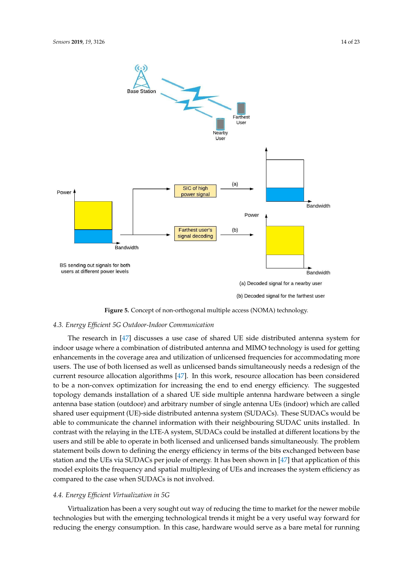<span id="page-13-0"></span>



#### *4.3. Energy Efficient 5G Outdoor-Indoor Communication*

The research in [\[47\]](#page-21-17) discusses a use case of shared UE side distributed antenna system for indoor usage where a combination of distributed antenna and MIMO technology is used for getting enhancements in the coverage area and utilization of unlicensed frequencies for accommodating more users. The use of both licensed as well as unlicensed bands simultaneously needs a redesign of the current resource allocation algorithms [\[47\]](#page-21-17). In this work, resource allocation has been considered to be a non-convex optimization for increasing the end to end energy efficiency. The suggested topology demands installation of a shared UE side multiple antenna hardware between a single antenna base station (outdoor) and arbitrary number of single antenna UEs (indoor) which are called shared user equipment (UE)-side distributed antenna system (SUDACs). These SUDACs would be able to communicate the channel information with their neighbouring SUDAC units installed. In contrast with the relaying in the LTE-A system, SUDACs could be installed at different locations by the users and still be able to operate in both licensed and unlicensed bands simultaneously. The problem statement boils down to defining the energy efficiency in terms of the bits exchanged between base station and the UEs via SUDACs per joule of energy. It has been shown in [\[47\]](#page-21-17) that application of this model exploits the frequency and spatial multiplexing of UEs and increases the system efficiency as compared to the case when SUDACs is not involved.

#### *4.4. Energy Efficient Virtualization in 5G*

Virtualization has been a very sought out way of reducing the time to market for the newer mobile technologies but with the emerging technological trends it might be a very useful way forward for reducing the energy consumption. In this case, hardware would serve as a bare metal for running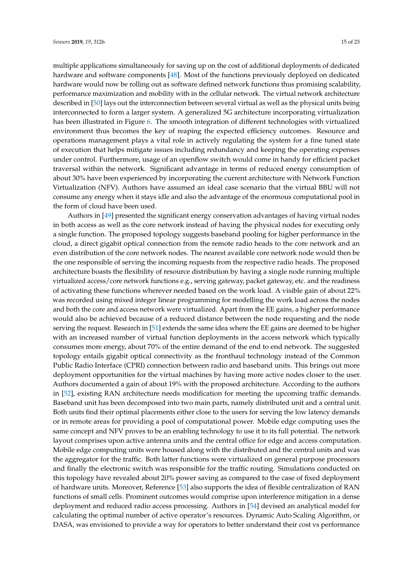multiple applications simultaneously for saving up on the cost of additional deployments of dedicated hardware and software components [\[48\]](#page-21-18). Most of the functions previously deployed on dedicated hardware would now be rolling out as software defined network functions thus promising scalability, performance maximization and mobility with in the cellular network. The virtual network architecture described in [\[50\]](#page-22-1) lays out the interconnection between several virtual as well as the physical units being interconnected to form a larger system. A generalized 5G architecture incorporating virtualization has been illustrated in Figure [6.](#page-15-0) The smooth integration of different technologies with virtualized environment thus becomes the key of reaping the expected efficiency outcomes. Resource and operations management plays a vital role in actively regulating the system for a fine tuned state of execution that helps mitigate issues including redundancy and keeping the operating expenses under control. Furthermore, usage of an openflow switch would come in handy for efficient packet traversal within the network. Significant advantage in terms of reduced energy consumption of about 30% have been experienced by incorporating the current architecture with Network Function Virtualization (NFV). Authors have assumed an ideal case scenario that the virtual BBU will not consume any energy when it stays idle and also the advantage of the enormous computational pool in the form of cloud have been used.

Authors in [\[49\]](#page-22-0) presented the significant energy conservation advantages of having virtual nodes in both access as well as the core network instead of having the physical nodes for executing only a single function. The proposed topology suggests baseband pooling for higher performance in the cloud, a direct gigabit optical connection from the remote radio heads to the core network and an even distribution of the core network nodes. The nearest available core network node would then be the one responsible of serving the incoming requests from the respective radio heads. The proposed architecture boasts the flexibility of resource distribution by having a single node running multiple virtualized access/core network functions e.g., serving gateway, packet gateway, etc. and the readiness of activating these functions wherever needed based on the work load. A visible gain of about 22% was recorded using mixed integer linear programming for modelling the work load across the nodes and both the core and access network were virtualized. Apart from the EE gains, a higher performance would also be achieved because of a reduced distance between the node requesting and the node serving the request. Research in [\[51\]](#page-22-2) extends the same idea where the EE gains are deemed to be higher with an increased number of virtual function deployments in the access network which typically consumes more energy, about 70% of the entire demand of the end to end network. The suggested topology entails gigabit optical connectivity as the fronthaul technology instead of the Common Public Radio Interface (CPRI) connection between radio and baseband units. This brings out more deployment opportunities for the virtual machines by having more active nodes closer to the user. Authors documented a gain of about 19% with the proposed architecture. According to the authors in [\[52\]](#page-22-3), existing RAN architecture needs modification for meeting the upcoming traffic demands. Baseband unit has been decomposed into two main parts, namely distributed unit and a central unit. Both units find their optimal placements either close to the users for serving the low latency demands or in remote areas for providing a pool of computational power. Mobile edge computing uses the same concept and NFV proves to be an enabling technology to use it to its full potential. The network layout comprises upon active antenna units and the central office for edge and access computation. Mobile edge computing units were housed along with the distributed and the central units and was the aggregator for the traffic. Both latter functions were virtualized on general purpose processors and finally the electronic switch was responsible for the traffic routing. Simulations conducted on this topology have revealed about 20% power saving as compared to the case of fixed deployment of hardware units. Moreover, Reference [\[53\]](#page-22-4) also supports the idea of flexible centralization of RAN functions of small cells. Prominent outcomes would comprise upon interference mitigation in a dense deployment and reduced radio access processing. Authors in [\[54\]](#page-22-5) devised an analytical model for calculating the optimal number of active operator's resources. Dynamic Auto Scaling Algorithm, or DASA, was envisioned to provide a way for operators to better understand their cost vs performance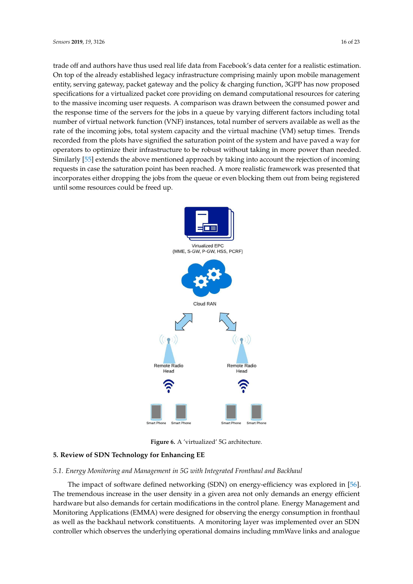trade off and authors have thus used real life data from Facebook's data center for a realistic estimation. On top of the already established legacy infrastructure comprising mainly upon mobile management entity, serving gateway, packet gateway and the policy & charging function, 3GPP has now proposed specifications for a virtualized packet core providing on demand computational resources for catering to the massive incoming user requests. A comparison was drawn between the consumed power and the response time of the servers for the jobs in a queue by varying different factors including total number of virtual network function (VNF) instances, total number of servers available as well as the rate of the incoming jobs, total system capacity and the virtual machine (VM) setup times. Trends recorded from the plots have signified the saturation point of the system and have paved a way for operators to optimize their infrastructure to be robust without taking in more power than needed. Similarly [\[55\]](#page-22-6) extends the above mentioned approach by taking into account the rejection of incoming requests in case the saturation point has been reached. A more realistic framework was presented that incorporates either dropping the jobs from the queue or even blocking them out from being registered until some resources could be freed up.

<span id="page-15-0"></span>

**Figure 6.** A 'virtualized' 5G architecture.

# **5. Review of SDN Technology for Enhancing EE**

## *5.1. Energy Monitoring and Management in 5G with Integrated Fronthaul and Backhaul*

The impact of software defined networking (SDN) on energy-efficiency was explored in [\[56\]](#page-22-7). The tremendous increase in the user density in a given area not only demands an energy efficient hardware but also demands for certain modifications in the control plane. Energy Management and Monitoring Applications (EMMA) were designed for observing the energy consumption in fronthaul as well as the backhaul network constituents. A monitoring layer was implemented over an SDN controller which observes the underlying operational domains including mmWave links and analogue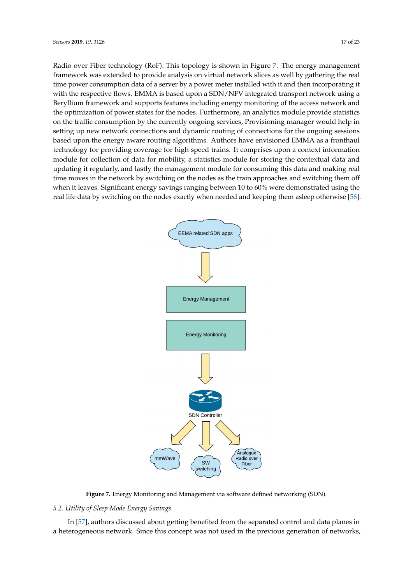Radio over Fiber technology (RoF). This topology is shown in Figure [7.](#page-16-0) The energy management framework was extended to provide analysis on virtual network slices as well by gathering the real time power consumption data of a server by a power meter installed with it and then incorporating it with the respective flows. EMMA is based upon a SDN/NFV integrated transport network using a Beryllium framework and supports features including energy monitoring of the access network and the optimization of power states for the nodes. Furthermore, an analytics module provide statistics on the traffic consumption by the currently ongoing services, Provisioning manager would help in setting up new network connections and dynamic routing of connections for the ongoing sessions based upon the energy aware routing algorithms. Authors have envisioned EMMA as a fronthaul technology for providing coverage for high speed trains. It comprises upon a context information module for collection of data for mobility, a statistics module for storing the contextual data and updating it regularly, and lastly the management module for consuming this data and making real time moves in the network by switching on the nodes as the train approaches and switching them off when it leaves. Significant energy savings ranging between 10 to 60% were demonstrated using the real life data by switching on the nodes exactly when needed and keeping them asleep otherwise [\[56\]](#page-22-7).

<span id="page-16-0"></span>

**Figure 7.** Energy Monitoring and Management via software defined networking (SDN).

## *5.2. Utility of Sleep Mode Energy Savings*

In [\[57\]](#page-22-8), authors discussed about getting benefited from the separated control and data planes in a heterogeneous network. Since this concept was not used in the previous generation of networks,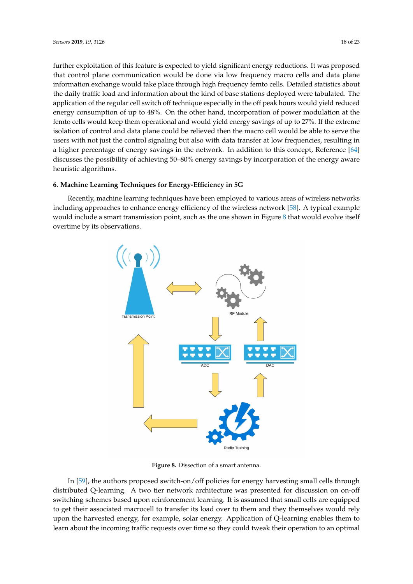further exploitation of this feature is expected to yield significant energy reductions. It was proposed that control plane communication would be done via low frequency macro cells and data plane information exchange would take place through high frequency femto cells. Detailed statistics about the daily traffic load and information about the kind of base stations deployed were tabulated. The application of the regular cell switch off technique especially in the off peak hours would yield reduced energy consumption of up to 48%. On the other hand, incorporation of power modulation at the femto cells would keep them operational and would yield energy savings of up to 27%. If the extreme isolation of control and data plane could be relieved then the macro cell would be able to serve the users with not just the control signaling but also with data transfer at low frequencies, resulting in a higher percentage of energy savings in the network. In addition to this concept, Reference [\[64\]](#page-22-15) discusses the possibility of achieving 50–80% energy savings by incorporation of the energy aware heuristic algorithms.

# **6. Machine Learning Techniques for Energy-Efficiency in 5G**

<span id="page-17-0"></span>Recently, machine learning techniques have been employed to various areas of wireless networks including approaches to enhance energy efficiency of the wireless network [\[58\]](#page-22-9). A typical example would include a smart transmission point, such as the one shown in Figure [8](#page-17-0) that would evolve itself overtime by its observations.



**Figure 8.** Dissection of a smart antenna.

In [\[59\]](#page-22-10), the authors proposed switch-on/off policies for energy harvesting small cells through distributed Q-learning. A two tier network architecture was presented for discussion on on-off switching schemes based upon reinforcement learning. It is assumed that small cells are equipped to get their associated macrocell to transfer its load over to them and they themselves would rely upon the harvested energy, for example, solar energy. Application of Q-learning enables them to learn about the incoming traffic requests over time so they could tweak their operation to an optimal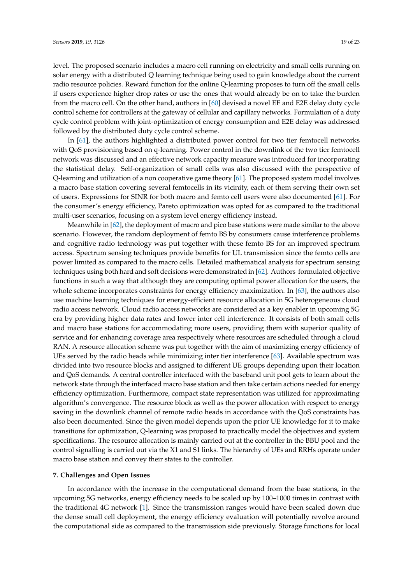level. The proposed scenario includes a macro cell running on electricity and small cells running on solar energy with a distributed Q learning technique being used to gain knowledge about the current radio resource policies. Reward function for the online Q-learning proposes to turn off the small cells if users experience higher drop rates or use the ones that would already be on to take the burden from the macro cell. On the other hand, authors in [\[60\]](#page-22-11) devised a novel EE and E2E delay duty cycle control scheme for controllers at the gateway of cellular and capillary networks. Formulation of a duty cycle control problem with joint-optimization of energy consumption and E2E delay was addressed followed by the distributed duty cycle control scheme.

In [\[61\]](#page-22-12), the authors highlighted a distributed power control for two tier femtocell networks with QoS provisioning based on q-learning. Power control in the downlink of the two tier femtocell network was discussed and an effective network capacity measure was introduced for incorporating the statistical delay. Self-organization of small cells was also discussed with the perspective of Q-learning and utilization of a non cooperative game theory [\[61\]](#page-22-12). The proposed system model involves a macro base station covering several femtocells in its vicinity, each of them serving their own set of users. Expressions for SINR for both macro and femto cell users were also documented [\[61\]](#page-22-12). For the consumer's energy efficiency, Pareto optimization was opted for as compared to the traditional multi-user scenarios, focusing on a system level energy efficiency instead.

Meanwhile in [\[62\]](#page-22-13), the deployment of macro and pico base stations were made similar to the above scenario. However, the random deployment of femto BS by consumers cause interference problems and cognitive radio technology was put together with these femto BS for an improved spectrum access. Spectrum sensing techniques provide benefits for UL transmission since the femto cells are power limited as compared to the macro cells. Detailed mathematical analysis for spectrum sensing techniques using both hard and soft decisions were demonstrated in [\[62\]](#page-22-13). Authors formulated objective functions in such a way that although they are computing optimal power allocation for the users, the whole scheme incorporates constraints for energy efficiency maximization. In [\[63\]](#page-22-14), the authors also use machine learning techniques for energy-efficient resource allocation in 5G heterogeneous cloud radio access network. Cloud radio access networks are considered as a key enabler in upcoming 5G era by providing higher data rates and lower inter cell interference. It consists of both small cells and macro base stations for accommodating more users, providing them with superior quality of service and for enhancing coverage area respectively where resources are scheduled through a cloud RAN. A resource allocation scheme was put together with the aim of maximizing energy efficiency of UEs served by the radio heads while minimizing inter tier interference [\[63\]](#page-22-14). Available spectrum was divided into two resource blocks and assigned to different UE groups depending upon their location and QoS demands. A central controller interfaced with the baseband unit pool gets to learn about the network state through the interfaced macro base station and then take certain actions needed for energy efficiency optimization. Furthermore, compact state representation was utilized for approximating algorithm's convergence. The resource block as well as the power allocation with respect to energy saving in the downlink channel of remote radio heads in accordance with the QoS constraints has also been documented. Since the given model depends upon the prior UE knowledge for it to make transitions for optimization, Q-learning was proposed to practically model the objectives and system specifications. The resource allocation is mainly carried out at the controller in the BBU pool and the control signalling is carried out via the X1 and S1 links. The hierarchy of UEs and RRHs operate under macro base station and convey their states to the controller.

## **7. Challenges and Open Issues**

In accordance with the increase in the computational demand from the base stations, in the upcoming 5G networks, energy efficiency needs to be scaled up by 100–1000 times in contrast with the traditional 4G network [\[1\]](#page-19-0). Since the transmission ranges would have been scaled down due the dense small cell deployment, the energy efficiency evaluation will potentially revolve around the computational side as compared to the transmission side previously. Storage functions for local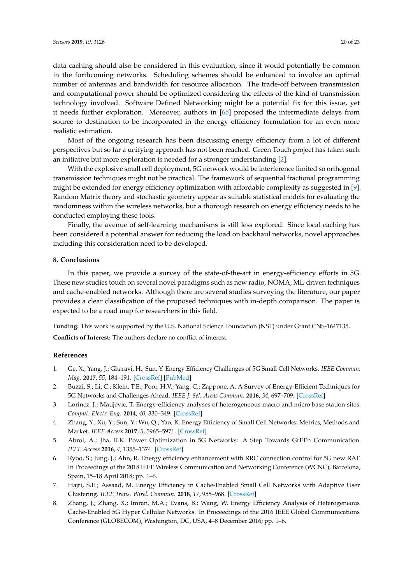data caching should also be considered in this evaluation, since it would potentially be common in the forthcoming networks. Scheduling schemes should be enhanced to involve an optimal number of antennas and bandwidth for resource allocation. The trade-off between transmission and computational power should be optimized considering the effects of the kind of transmission technology involved. Software Defined Networking might be a potential fix for this issue, yet it needs further exploration. Moreover, authors in [\[65\]](#page-22-16) proposed the intermediate delays from source to destination to be incorporated in the energy efficiency formulation for an even more realistic estimation.

Most of the ongoing research has been discussing energy efficiency from a lot of different perspectives but so far a unifying approach has not been reached. Green Touch project has taken such an initiative but more exploration is needed for a stronger understanding [\[2\]](#page-19-1).

With the explosive small cell deployment, 5G network would be interference limited so orthogonal transmission techniques might not be practical. The framework of sequential fractional programming might be extended for energy efficiency optimization with affordable complexity as suggested in [\[9\]](#page-20-0). Random Matrix theory and stochastic geometry appear as suitable statistical models for evaluating the randomness within the wireless networks, but a thorough research on energy efficiency needs to be conducted employing these tools.

Finally, the avenue of self-learning mechanisms is still less explored. Since local caching has been considered a potential answer for reducing the load on backhaul networks, novel approaches including this consideration need to be developed.

#### **8. Conclusions**

In this paper, we provide a survey of the state-of-the-art in energy-efficiency efforts in 5G. These new studies touch on several novel paradigms such as new radio, NOMA, ML-driven techniques and cache-enabled networks. Although there are several studies surveying the literature, our paper provides a clear classification of the proposed techniques with in-depth comparison. The paper is expected to be a road map for researchers in this field.

**Funding:** This work is supported by the U.S. National Science Foundation (NSF) under Grant CNS-1647135. **Conflicts of Interest:** The authors declare no conflict of interest.

#### **References**

- <span id="page-19-0"></span>1. Ge, X.; Yang, J.; Gharavi, H.; Sun, Y. Energy Efficiency Challenges of 5G Small Cell Networks. *IEEE Commun. Mag.* **2017**, *55*, 184–191. [\[CrossRef\]](http://dx.doi.org/10.1109/MCOM.2017.1600788) [\[PubMed\]](http://www.ncbi.nlm.nih.gov/pubmed/28757670)
- <span id="page-19-1"></span>2. Buzzi, S.; Li, C.; Klein, T.E.; Poor, H.V.; Yang, C.; Zappone, A. A Survey of Energy-Efficient Techniques for 5G Networks and Challenges Ahead. *IEEE J. Sel. Areas Commun.* **2016**, *34*, 697–709. [\[CrossRef\]](http://dx.doi.org/10.1109/JSAC.2016.2550338)
- <span id="page-19-2"></span>3. Lorincz, J.; Matijevic, T. Energy-efficiency analyses of heterogeneous macro and micro base station sites. *Comput. Electr. Eng.* **2014**, *40*, 330–349. [\[CrossRef\]](http://dx.doi.org/10.1016/j.compeleceng.2013.10.013)
- <span id="page-19-3"></span>4. Zhang, Y.; Xu, Y.; Sun, Y.; Wu, Q.; Yao, K. Energy Efficiency of Small Cell Networks: Metrics, Methods and Market. *IEEE Access* **2017**, *5*, 5965–5971. [\[CrossRef\]](http://dx.doi.org/10.1109/ACCESS.2017.2696025)
- <span id="page-19-4"></span>5. Abrol, A.; Jha, R.K. Power Optimization in 5G Networks: A Step Towards GrEEn Communication. *IEEE Access* **2016**, *4*, 1355–1374. [\[CrossRef\]](http://dx.doi.org/10.1109/ACCESS.2016.2549641)
- <span id="page-19-5"></span>6. Ryoo, S.; Jung, J.; Ahn, R. Energy efficiency enhancement with RRC connection control for 5G new RAT. In Proceedings of the 2018 IEEE Wireless Communication and Networking Conference (WCNC), Barcelona, Spain, 15–18 April 2018; pp. 1–6.
- <span id="page-19-6"></span>7. Hajri, S.E.; Assaad, M. Energy Efficiency in Cache-Enabled Small Cell Networks with Adaptive User Clustering. *IEEE Trans. Wirel. Commun*. **2018**, *17*, 955–968. [\[CrossRef\]](http://dx.doi.org/10.1109/TWC.2017.2772897)
- <span id="page-19-7"></span>8. Zhang, J.; Zhang, X.; Imran, M.A.; Evans, B.; Wang, W. Energy Efficiency Analysis of Heterogeneous Cache-Enabled 5G Hyper Cellular Networks. In Proceedings of the 2016 IEEE Global Communications Conference (GLOBECOM), Washington, DC, USA, 4–8 December 2016; pp. 1–6.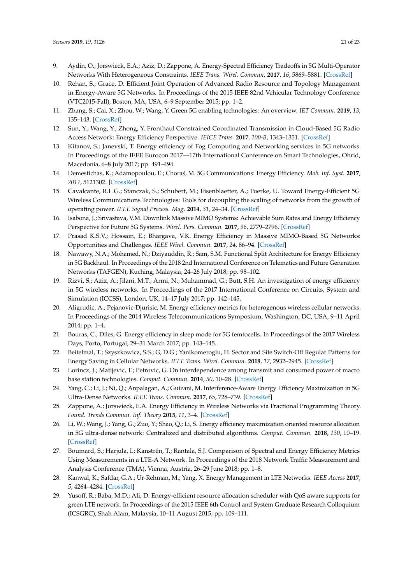- <span id="page-20-0"></span>9. Aydin, O.; Jorswieck, E.A.; Aziz, D.; Zappone, A. Energy-Spectral Efficiency Tradeoffs in 5G Multi-Operator Networks With Heterogeneous Constraints. *IEEE Trans. Wirel. Commun.* **2017**, *16*, 5869–5881. [\[CrossRef\]](http://dx.doi.org/10.1109/TWC.2017.2716948)
- <span id="page-20-1"></span>10. Rehan, S.; Grace, D. Efficient Joint Operation of Advanced Radio Resource and Topology Management in Energy-Aware 5G Networks. In Proceedings of the 2015 IEEE 82nd Vehicular Technology Conference (VTC2015-Fall), Boston, MA, USA, 6–9 September 2015; pp. 1–2.
- <span id="page-20-2"></span>11. Zhang, S.; Cai, X.; Zhou, W.; Wang, Y. Green 5G enabling technologies: An overview. *IET Commun.* **2019**, *13*, 135–143. [\[CrossRef\]](http://dx.doi.org/10.1049/iet-com.2018.5448)
- <span id="page-20-3"></span>12. Sun, Y.; Wang, Y.; Zhong, Y. Fronthaul Constrained Coordinated Transmission in Cloud-Based 5G Radio Access Network: Energy Efficiency Perspective. *IEICE Trans.* **2017**, *100-B*, 1343–1351. [\[CrossRef\]](http://dx.doi.org/10.1587/transcom.2016FGP0004)
- <span id="page-20-4"></span>13. Kitanov, S.; Janevski, T. Energy efficiency of Fog Computing and Networking services in 5G networks. In Proceedings of the IEEE Eurocon 2017—17th International Conference on Smart Technologies, Ohrid, Macedonia, 6–8 July 2017; pp. 491–494.
- <span id="page-20-5"></span>14. Demestichas, K.; Adamopoulou, E.; Chora´s, M. 5G Communications: Energy Efficiency. *Mob. Inf. Syst.* **2017**, *2017*, 5121302. [\[CrossRef\]](http://dx.doi.org/10.1155/2017/5121302)
- <span id="page-20-6"></span>15. Cavalcante, R.L.G.; Stanczak, S.; Schubert, M.; Eisenblaetter, A.; Tuerke, U. Toward Energy-Efficient 5G Wireless Communications Technologies: Tools for decoupling the scaling of networks from the growth of operating power. *IEEE Signal Process. Mag*. **2014**, *31*, 24–34. [\[CrossRef\]](http://dx.doi.org/10.1109/MSP.2014.2335093)
- <span id="page-20-7"></span>16. Isabona, J.; Srivastava, V.M. Downlink Massive MIMO Systems: Achievable Sum Rates and Energy Efficiency Perspective for Future 5G Systems. *Wirel. Pers. Commun.* **2017**, *96*, 2779–2796. [\[CrossRef\]](http://dx.doi.org/10.1007/s11277-017-4324-y)
- <span id="page-20-8"></span>17. Prasad K.S.V.; Hossain, E.; Bhargava, V.K. Energy Efficiency in Massive MIMO-Based 5G Networks: Opportunities and Challenges. *IEEE Wirel. Commun.* **2017**, *24*, 86–94. [\[CrossRef\]](http://dx.doi.org/10.1109/MWC.2016.1500374WC)
- <span id="page-20-9"></span>18. Nawawy, N.A.; Mohamed, N.; Dziyauddin, R.; Sam, S.M. Functional Split Architecture for Energy Efficiency in 5G Backhaul. In Proceedings of the 2018 2nd International Conference on Telematics and Future Generation Networks (TAFGEN), Kuching, Malaysia, 24–26 July 2018; pp. 98–102.
- <span id="page-20-10"></span>19. Rizvi, S.; Aziz, A.; Jilani, M.T.; Armi, N.; Muhammad, G.; Butt, S.H. An investigation of energy efficiency in 5G wireless networks. In Proceedings of the 2017 International Conference on Circuits, System and Simulation (ICCSS), London, UK, 14–17 July 2017; pp. 142–145.
- <span id="page-20-11"></span>20. Aligrudic, A.; Pejanovic-Djurisic, M. Energy efficiency metrics for heterogenous wireless cellular networks. In Proceedings of the 2014 Wireless Telecommunications Symposium, Washington, DC, USA, 9–11 April 2014; pp. 1–4.
- <span id="page-20-12"></span>21. Bouras, C.; Diles, G. Energy efficiency in sleep mode for 5G femtocells. In Proceedings of the 2017 Wireless Days, Porto, Portugal, 29–31 March 2017; pp. 143–145.
- <span id="page-20-13"></span>22. Beitelmal, T.; Szyszkowicz, S.S.; G, D.G.; Yanikomeroglu, H. Sector and Site Switch-Off Regular Patterns for Energy Saving in Cellular Networks. *IEEE Trans. Wirel. Commun.* **2018**, *17*, 2932–2945. [\[CrossRef\]](http://dx.doi.org/10.1109/TWC.2018.2804397)
- <span id="page-20-14"></span>23. Lorincz, J.; Matijevic, T.; Petrovic, G. On interdependence among transmit and consumed power of macro base station technologies. *Comput. Commun.* **2014**, *50*, 10–28. [\[CrossRef\]](http://dx.doi.org/10.1016/j.comcom.2014.02.010)
- <span id="page-20-15"></span>24. Yang, C.; Li, J.; Ni, Q.; Anpalagan, A.; Guizani, M. Interference-Aware Energy Efficiency Maximization in 5G Ultra-Dense Networks. *IEEE Trans. Commun.* **2017**, *65*, 728–739. [\[CrossRef\]](http://dx.doi.org/10.1109/TCOMM.2016.2638906)
- <span id="page-20-16"></span>25. Zappone, A.; Jorswieck, E.A. Energy Efficiency in Wireless Networks via Fractional Programming Theory. *Found. Trends Commun. Inf. Theory* **2015**, *11*, 3–4. [\[CrossRef\]](http://dx.doi.org/10.1561/0100000088)
- <span id="page-20-17"></span>26. Li, W.; Wang, J.; Yang, G.; Zuo, Y.; Shao, Q.; Li, S. Energy efficiency maximization oriented resource allocation in 5G ultra-dense network: Centralized and distributed algorithms. *Comput. Commun.* **2018**, *130*, 10–19. [\[CrossRef\]](http://dx.doi.org/10.1016/j.comcom.2018.08.005)
- <span id="page-20-18"></span>27. Boumard, S.; Harjula, I.; Kanstrén, T.; Rantala, S.J. Comparison of Spectral and Energy Efficiency Metrics Using Measurements in a LTE-A Network. In Proceedings of the 2018 Network Traffic Measurement and Analysis Conference (TMA), Vienna, Austria, 26–29 June 2018; pp. 1–8.
- <span id="page-20-19"></span>28. Kanwal, K.; Safdar, G.A.; Ur-Rehman, M.; Yang, X. Energy Management in LTE Networks. *IEEE Access* **2017**, *5*, 4264–4284. [\[CrossRef\]](http://dx.doi.org/10.1109/ACCESS.2017.2688584)
- <span id="page-20-20"></span>29. Yusoff, R.; Baba, M.D.; Ali, D. Energy-efficient resource allocation scheduler with QoS aware supports for green LTE network. In Proceedings of the 2015 IEEE 6th Control and System Graduate Research Colloquium (ICSGRC), Shah Alam, Malaysia, 10–11 August 2015; pp. 109–111.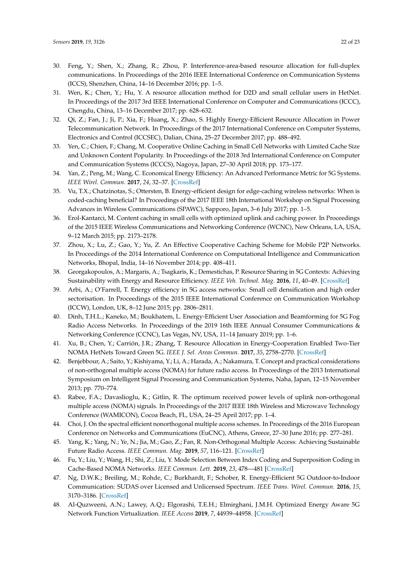- <span id="page-21-0"></span>30. Feng, Y.; Shen, X.; Zhang, R.; Zhou, P. Interference-area-based resource allocation for full-duplex communications. In Proceedings of the 2016 IEEE International Conference on Communication Systems (ICCS), Shenzhen, China, 14–16 December 2016; pp. 1–5.
- <span id="page-21-1"></span>31. Wen, K.; Chen, Y.; Hu, Y. A resource allocation method for D2D and small cellular users in HetNet. In Proceedings of the 2017 3rd IEEE International Conference on Computer and Communications (ICCC), Chengdu, China, 13–16 December 2017; pp. 628–632.
- <span id="page-21-2"></span>32. Qi, Z.; Fan, J.; Ji, P.; Xia, F.; Huang, X.; Zhao, S. Highly Energy-Efficient Resource Allocation in Power Telecommunication Network. In Proceedings of the 2017 International Conference on Computer Systems, Electronics and Control (ICCSEC), Dalian, China, 25–27 December 2017; pp. 488–492.
- <span id="page-21-3"></span>33. Yen, C.; Chien, F.; Chang, M. Cooperative Online Caching in Small Cell Networks with Limited Cache Size and Unknown Content Popularity. In Proceedings of the 2018 3rd International Conference on Computer and Communication Systems (ICCCS), Nagoya, Japan, 27–30 April 2018; pp. 173–177.
- <span id="page-21-4"></span>34. Yan, Z.; Peng, M.; Wang, C. Economical Energy Efficiency: An Advanced Performance Metric for 5G Systems. *IEEE Wirel. Commun.* **2017**, *24*, 32–37. [\[CrossRef\]](http://dx.doi.org/10.1109/MWC.2017.1600121WC)
- <span id="page-21-5"></span>35. Vu, T.X.; Chatzinotas, S.; Ottersten, B. Energy-efficient design for edge-caching wireless networks: When is coded-caching beneficial? In Proceedings of the 2017 IEEE 18th International Workshop on Signal Processing Advances in Wireless Communications (SPAWC), Sapporo, Japan, 3–6 July 2017; pp. 1–5.
- <span id="page-21-6"></span>36. Erol-Kantarci, M. Content caching in small cells with optimized uplink and caching power. In Proceedings of the 2015 IEEE Wireless Communications and Networking Conference (WCNC), New Orleans, LA, USA, 9–12 March 2015; pp. 2173–2178.
- <span id="page-21-7"></span>37. Zhou, X.; Lu, Z.; Gao, Y.; Yu, Z. An Effective Cooperative Caching Scheme for Mobile P2P Networks. In Proceedings of the 2014 International Conference on Computational Intelligence and Communication Networks, Bhopal, India, 14–16 November 2014; pp. 408–411.
- <span id="page-21-8"></span>38. Georgakopoulos, A.; Margaris, A.; Tsagkaris, K.; Demestichas, P. Resource Sharing in 5G Contexts: Achieving Sustainability with Energy and Resource Efficiency. *IEEE Veh. Technol. Mag.* **2016**, *11*, 40–49. [\[CrossRef\]](http://dx.doi.org/10.1109/MVT.2015.2508319)
- <span id="page-21-9"></span>39. Arbi, A.; O'Farrell, T. Energy efficiency in 5G access networks: Small cell densification and high order sectorisation. In Proceedings of the 2015 IEEE International Conference on Communication Workshop (ICCW), London, UK, 8–12 June 2015; pp. 2806–2811.
- <span id="page-21-10"></span>40. Dinh, T.H.L.; Kaneko, M.; Boukhatem, L. Energy-Efficient User Association and Beamforming for 5G Fog Radio Access Networks. In Proceedings of the 2019 16th IEEE Annual Consumer Communications & Networking Conference (CCNC), Las Vegas, NV, USA, 11–14 January 2019; pp. 1–6.
- <span id="page-21-11"></span>41. Xu, B.; Chen, Y.; Carrión, J.R.; Zhang, T. Resource Allocation in Energy-Cooperation Enabled Two-Tier NOMA HetNets Toward Green 5G. *IEEE J. Sel. Areas Commun*. **2017**, *35*, 2758–2770. [\[CrossRef\]](http://dx.doi.org/10.1109/JSAC.2017.2726398)
- <span id="page-21-12"></span>42. Benjebbour, A.; Saito, Y.; Kishiyama, Y.; Li, A.; Harada, A.; Nakamura, T. Concept and practical considerations of non-orthogonal multiple access (NOMA) for future radio access. In Proceedings of the 2013 International Symposium on Intelligent Signal Processing and Communication Systems, Naha, Japan, 12–15 November 2013; pp. 770–774.
- <span id="page-21-13"></span>43. Rabee, F.A.; Davaslioglu, K.; Gitlin, R. The optimum received power levels of uplink non-orthogonal multiple access (NOMA) signals. In Proceedings of the 2017 IEEE 18th Wireless and Microwave Technology Conference (WAMICON), Cocoa Beach, FL, USA, 24–25 April 2017; pp. 1–4.
- <span id="page-21-14"></span>44. Choi, J. On the spectral efficient nonorthogonal multiple access schemes. In Proceedings of the 2016 European Conference on Networks and Communications (EuCNC), Athens, Greece, 27–30 June 2016; pp. 277–281.
- <span id="page-21-15"></span>45. Yang, K.; Yang, N.; Ye, N.; Jia, M.; Gao, Z.; Fan, R. Non-Orthogonal Multiple Access: Achieving Sustainable Future Radio Access. *IEEE Commun. Mag.* **2019**, *57*, 116–121. [\[CrossRef\]](http://dx.doi.org/10.1109/MCOM.2018.1800179)
- <span id="page-21-16"></span>46. Fu, Y.; Liu, Y.; Wang, H.; Shi, Z.; Liu, Y. Mode Selection Between Index Coding and Superposition Coding in Cache-Based NOMA Networks. *IEEE Commun. Lett.* **2019**, *23*, 478—481 [\[CrossRef\]](http://dx.doi.org/10.1109/LCOMM.2019.2892468)
- <span id="page-21-17"></span>47. Ng, D.W.K.; Breiling, M.; Rohde, C.; Burkhardt, F.; Schober, R. Energy-Efficient 5G Outdoor-to-Indoor Communication: SUDAS over Licensed and Unlicensed Spectrum. *IEEE Trans. Wirel. Commun.* **2016**, *15*, 3170–3186. [\[CrossRef\]](http://dx.doi.org/10.1109/TWC.2016.2517626)
- <span id="page-21-18"></span>48. Al-Quzweeni, A.N.; Lawey, A.Q.; Elgorashi, T.E.H.; Elmirghani, J.M.H. Optimized Energy Aware 5G Network Function Virtualization. *IEEE Access* **2019**, *7*, 44939–44958. [\[CrossRef\]](http://dx.doi.org/10.1109/ACCESS.2019.2907798)